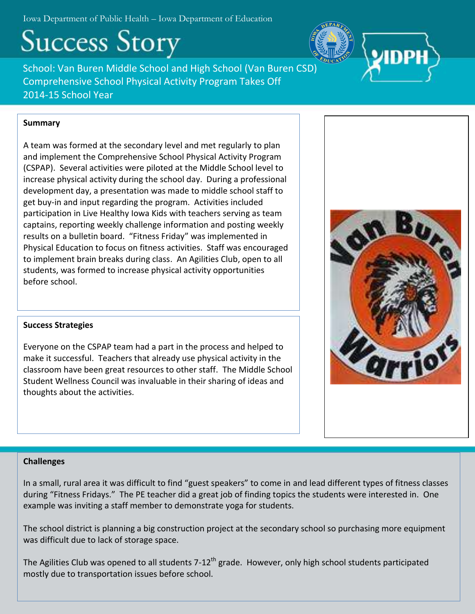Iowa Department of Public Health – Iowa Department of Education

# **Success Story**

School: Van Buren Middle School and High School (Van Buren CSD) Comprehensive School Physical Activity Program Takes Off 2014-15 School Year

# **Summary**

A team was formed at the secondary level and met regularly to plan and implement the Comprehensive School Physical Activity Program (CSPAP). Several activities were piloted at the Middle School level to increase physical activity during the school day. During a professional development day, a presentation was made to middle school staff to get buy-in and input regarding the program. Activities included participation in Live Healthy Iowa Kids with teachers serving as team captains, reporting weekly challenge information and posting weekly results on a bulletin board. "Fitness Friday" was implemented in Physical Education to focus on fitness activities. Staff was encouraged to implement brain breaks during class. An Agilities Club, open to all students, was formed to increase physical activity opportunities before school.



## **Success Strategies**

Everyone on the CSPAP team had a part in the process and helped to make it successful. Teachers that already use physical activity in the classroom have been great resources to other staff. The Middle School Student Wellness Council was invaluable in their sharing of ideas and thoughts about the activities.

## **Challenges**

In a small, rural area it was difficult to find "guest speakers" to come in and lead different types of fitness classes during "Fitness Fridays." The PE teacher did a great job of finding topics the students were interested in. One example was inviting a staff member to demonstrate yoga for students.

The school district is planning a big construction project at the secondary school so purchasing more equipment was difficult due to lack of storage space.

The Agilities Club was opened to all students  $7-12^{th}$  grade. However, only high school students participated mostly due to transportation issues before school.